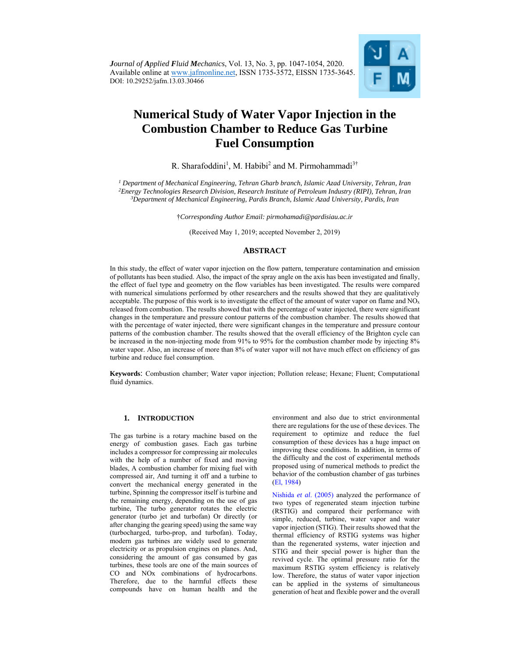

# **Numerical Study of Water Vapor Injection in the Combustion Chamber to Reduce Gas Turbine Fuel Consumption**

R. Sharafoddini<sup>1</sup>, M. Habibi<sup>2</sup> and M. Pirmohammadi<sup>3†</sup>

<sup>1</sup> Department of Mechanical Engineering, Tehran Gharb branch, Islamic Azad University, Tehran, Iran *2Energy Technologies Research Division, Research Institute of Petroleum Industry (RIPI), Tehran, Iran 3 Department of Mechanical Engineering, Pardis Branch, Islamic Azad University, Pardis, Iran* 

†*Corresponding Author Email: pirmohamadi@pardisiau.ac.ir* 

(Received May 1, 2019; accepted November 2, 2019)

# **ABSTRACT**

In this study, the effect of water vapor injection on the flow pattern, temperature contamination and emission of pollutants has been studied. Also, the impact of the spray angle on the axis has been investigated and finally, the effect of fuel type and geometry on the flow variables has been investigated. The results were compared with numerical simulations performed by other researchers and the results showed that they are qualitatively acceptable. The purpose of this work is to investigate the effect of the amount of water vapor on flame and  $NO<sub>x</sub>$ released from combustion. The results showed that with the percentage of water injected, there were significant changes in the temperature and pressure contour patterns of the combustion chamber. The results showed that with the percentage of water injected, there were significant changes in the temperature and pressure contour patterns of the combustion chamber. The results showed that the overall efficiency of the Brighton cycle can be increased in the non-injecting mode from 91% to 95% for the combustion chamber mode by injecting 8% water vapor. Also, an increase of more than 8% of water vapor will not have much effect on efficiency of gas turbine and reduce fuel consumption.

**Keywords**: Combustion chamber; Water vapor injection; Pollution release; Hexane; Fluent; Computational fluid dynamics.

#### **1. INTRODUCTION**

The gas turbine is a rotary machine based on the energy of combustion gases. Each gas turbine includes a compressor for compressing air molecules with the help of a number of fixed and moving blades, A combustion chamber for mixing fuel with compressed air, And turning it off and a turbine to convert the mechanical energy generated in the turbine, Spinning the compressor itself is turbine and the remaining energy, depending on the use of gas turbine, The turbo generator rotates the electric generator (turbo jet and turbofan) Or directly (or after changing the gearing speed) using the same way (turbocharged, turbo-prop, and turbofan). Today, modern gas turbines are widely used to generate electricity or as propulsion engines on planes. And, considering the amount of gas consumed by gas turbines, these tools are one of the main sources of CO and NOx combinations of hydrocarbons. Therefore, due to the harmful effects these compounds have on human health and the

environment and also due to strict environmental there are regulations for the use of these devices. The requirement to optimize and reduce the fuel consumption of these devices has a huge impact on improving these conditions. In addition, in terms of the difficulty and the cost of experimental methods proposed using of numerical methods to predict the behavior of the combustion chamber of gas turbines (El, 1984)

Nishida *et al*. (2005) analyzed the performance of two types of regenerated steam injection turbine (RSTIG) and compared their performance with simple, reduced, turbine, water vapor and water vapor injection (STIG). Their results showed that the thermal efficiency of RSTIG systems was higher than the regenerated systems, water injection and STIG and their special power is higher than the revived cycle. The optimal pressure ratio for the maximum RSTIG system efficiency is relatively low. Therefore, the status of water vapor injection can be applied in the systems of simultaneous generation of heat and flexible power and the overall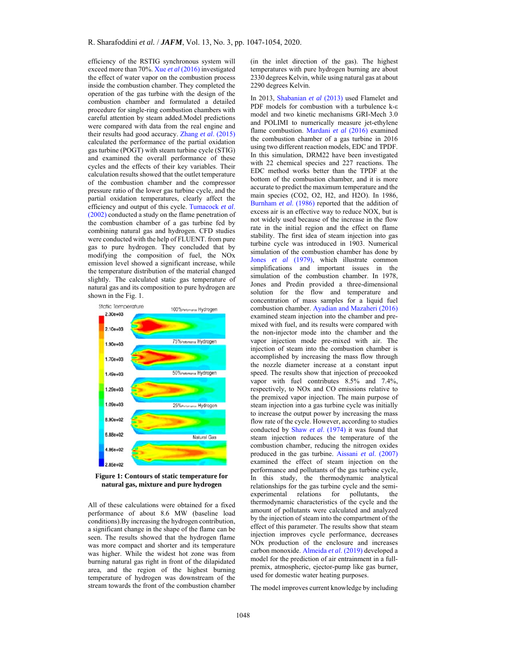efficiency of the RSTIG synchronous system will exceed more than 70%. Xue *et al* (2016) investigated the effect of water vapor on the combustion process inside the combustion chamber. They completed the operation of the gas turbine with the design of the combustion chamber and formulated a detailed procedure for single-ring combustion chambers with careful attention by steam added.Model predictions were compared with data from the real engine and their results had good accuracy. Zhang *et al*. (2015) calculated the performance of the partial oxidation gas turbine (POGT) with steam turbine cycle (STIG) and examined the overall performance of these cycles and the effects of their key variables. Their calculation results showed that the outlet temperature of the combustion chamber and the compressor pressure ratio of the lower gas turbine cycle, and the partial oxidation temperatures, clearly affect the efficiency and output of this cycle. Tumacock *et al*. (2002) conducted a study on the flame penetration of the combustion chamber of a gas turbine fed by combining natural gas and hydrogen. CFD studies were conducted with the help of FLUENT. from pure gas to pure hydrogen. They concluded that by modifying the composition of fuel, the NOx emission level showed a significant increase, while the temperature distribution of the material changed slightly. The calculated static gas temperature of natural gas and its composition to pure hydrogen are shown in the Fig. 1.



**Figure 1: Contours of static temperature for natural gas, mixture and pure hydrogen** 

All of these calculations were obtained for a fixed performance of about 8.6 MW (baseline load conditions).By increasing the hydrogen contribution, a significant change in the shape of the flame can be seen. The results showed that the hydrogen flame was more compact and shorter and its temperature was higher. While the widest hot zone was from burning natural gas right in front of the dilapidated area, and the region of the highest burning temperature of hydrogen was downstream of the stream towards the front of the combustion chamber (in the inlet direction of the gas). The highest temperatures with pure hydrogen burning are about 2330 degrees Kelvin, while using natural gas at about 2290 degrees Kelvin.

In 2013, Shabanian *et al* (2013) used Flamelet and PDF models for combustion with a turbulence k-ε model and two kinetic mechanisms GRI-Mech 3.0 and POLIMI to numerically measure jet-ethylene flame combustion. Mardani *et al* (2016) examined the combustion chamber of a gas turbine in 2016 using two different reaction models, EDC and TPDF. In this simulation, DRM22 have been investigated with 22 chemical species and 227 reactions. The EDC method works better than the TPDF at the bottom of the combustion chamber, and it is more accurate to predict the maximum temperature and the main species (CO2, O2, H2, and H2O). In 1986, Burnham *et al*. (1986) reported that the addition of excess air is an effective way to reduce NOX, but is not widely used because of the increase in the flow rate in the initial region and the effect on flame stability. The first idea of steam injection into gas turbine cycle was introduced in 1903. Numerical simulation of the combustion chamber has done by Jones *et al* (1979), which illustrate common simplifications and important issues in the simulation of the combustion chamber. In 1978, Jones and Predin provided a three-dimensional solution for the flow and temperature and concentration of mass samples for a liquid fuel combustion chamber. Ayadian and Mazaheri (2016) examined steam injection into the chamber and premixed with fuel, and its results were compared with the non-injector mode into the chamber and the vapor injection mode pre-mixed with air. The injection of steam into the combustion chamber is accomplished by increasing the mass flow through the nozzle diameter increase at a constant input speed. The results show that injection of precooked vapor with fuel contributes 8.5% and 7.4%, respectively, to NOx and CO emissions relative to the premixed vapor injection. The main purpose of steam injection into a gas turbine cycle was initially to increase the output power by increasing the mass flow rate of the cycle. However, according to studies conducted by Shaw *et al*. (1974) it was found that steam injection reduces the temperature of the combustion chamber, reducing the nitrogen oxides produced in the gas turbine. Aissani *et al*. (2007) examined the effect of steam injection on the performance and pollutants of the gas turbine cycle, In this study, the thermodynamic analytical relationships for the gas turbine cycle and the semiexperimental relations for pollutants, the thermodynamic characteristics of the cycle and the amount of pollutants were calculated and analyzed by the injection of steam into the compartment of the effect of this parameter. The results show that steam injection improves cycle performance, decreases NOx production of the enclosure and increases carbon monoxide. Almeida *et al*. (2019) developed a model for the prediction of air entrainment in a fullpremix, atmospheric, ejector-pump like gas burner, used for domestic water heating purposes.

The model improves current knowledge by including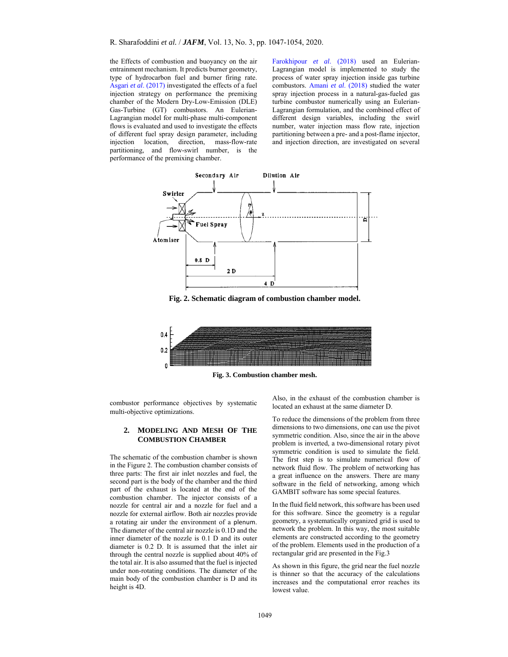the Effects of combustion and buoyancy on the air entrainment mechanism. It predicts burner geometry, type of hydrocarbon fuel and burner firing rate. Asgari *et al*. (2017) investigated the effects of a fuel injection strategy on performance the premixing chamber of the Modern Dry-Low-Emission (DLE) Gas-Turbine (GT) combustors. An Eulerian-Lagrangian model for multi-phase multi-component flows is evaluated and used to investigate the effects of different fuel spray design parameter, including injection location, direction, mass-flow-rate partitioning, and flow-swirl number, is the performance of the premixing chamber.

Farokhipour *et al*. (2018) used an Eulerian-Lagrangian model is implemented to study the process of water spray injection inside gas turbine combustors. Amani *et al*. (2018) studied the water spray injection process in a natural-gas-fueled gas turbine combustor numerically using an Eulerian-Lagrangian formulation, and the combined effect of different design variables, including the swirl number, water injection mass flow rate, injection partitioning between a pre- and a post-flame injector, and injection direction, are investigated on several



**Fig. 2. Schematic diagram of combustion chamber model.** 



**Fig. 3. Combustion chamber mesh.** 

combustor performance objectives by systematic multi-objective optimizations.

## **2. MODELING AND MESH OF THE COMBUSTION CHAMBER**

The schematic of the combustion chamber is shown in the Figure 2. The combustion chamber consists of three parts: The first air inlet nozzles and fuel, the second part is the body of the chamber and the third part of the exhaust is located at the end of the combustion chamber. The injector consists of a nozzle for central air and a nozzle for fuel and a nozzle for external airflow. Both air nozzles provide a rotating air under the environment of a plenum. The diameter of the central air nozzle is 0.1D and the inner diameter of the nozzle is 0.1 D and its outer diameter is 0.2 D. It is assumed that the inlet air through the central nozzle is supplied about 40% of the total air. It is also assumed that the fuel is injected under non-rotating conditions. The diameter of the main body of the combustion chamber is D and its height is 4D.

Also, in the exhaust of the combustion chamber is located an exhaust at the same diameter D.

To reduce the dimensions of the problem from three dimensions to two dimensions, one can use the pivot symmetric condition. Also, since the air in the above problem is inverted, a two-dimensional rotary pivot symmetric condition is used to simulate the field. The first step is to simulate numerical flow of network fluid flow. The problem of networking has a great influence on the answers. There are many software in the field of networking, among which GAMBIT software has some special features.

In the fluid field network, this software has been used for this software. Since the geometry is a regular geometry, a systematically organized grid is used to network the problem. In this way, the most suitable elements are constructed according to the geometry of the problem. Elements used in the production of a rectangular grid are presented in the Fig.3

As shown in this figure, the grid near the fuel nozzle is thinner so that the accuracy of the calculations increases and the computational error reaches its lowest value.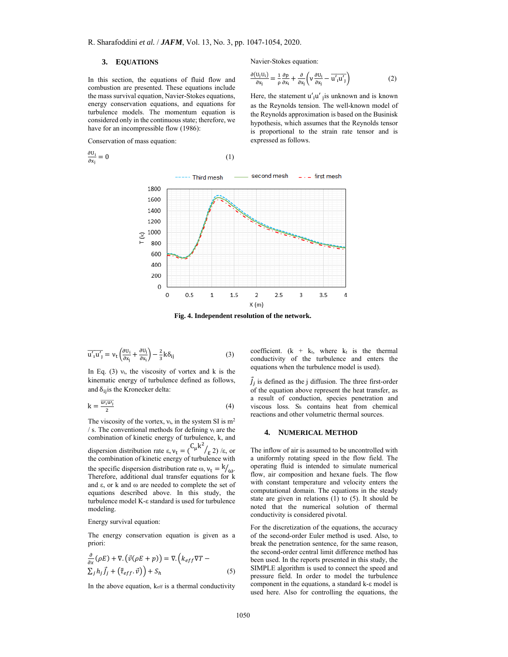## **3. EQUATIONS**

In this section, the equations of fluid flow and combustion are presented. These equations include the mass survival equation, Navier-Stokes equations, energy conservation equations, and equations for turbulence models. The momentum equation is considered only in the continuous state; therefore, we have for an incompressible flow (1986):

Conservation of mass equation:

$$
\frac{\partial U_i}{\partial x_j} = 0 \tag{1}
$$

Navier-Stokes equation:

$$
\frac{\partial (\mathbf{U}_j \mathbf{U}_i)}{\partial \mathbf{x}_j} = \frac{1}{\rho} \frac{\partial \mathbf{p}}{\partial \mathbf{x}_i} + \frac{\partial}{\partial \mathbf{x}_j} \left( \mathbf{v} \frac{\partial \mathbf{U}_i}{\partial \mathbf{x}_j} - \overline{\mathbf{u}'_1 \mathbf{u}'_1} \right) \tag{2}
$$

Here, the statement  $u'_{i}u'_{j}$  is unknown and is known as the Reynolds tension. The well-known model of the Reynolds approximation is based on the Businisk hypothesis, which assumes that the Reynolds tensor is proportional to the strain rate tensor and is expressed as follows.



**Fig. 4. Independent resolution of the network.** 

$$
\overline{u'_1 u'_1} = v_t \left( \frac{\partial u_i}{\partial x_j} + \frac{\partial u_j}{\partial x_i} \right) - \frac{2}{3} k \delta_{ij}
$$
 (3)

In Eq. (3)  $v_t$ , the viscosity of vortex and k is the kinematic energy of turbulence defined as follows, and  $\delta_{ij}$  is the Kronecker delta:

$$
k = \frac{\overline{u_1 u_1}}{2} \tag{4}
$$

The viscosity of the vortex,  $v_t$ , in the system SI is  $m<sup>2</sup>$ / s. The conventional methods for defining  $v_t$  are the combination of kinetic energy of turbulence, k, and dispersion distribution rate  $\varepsilon$ ,  $v_t = {C_\mu k^2}/{\varepsilon^2}$  / $\varepsilon$ , or the combination of kinetic energy of turbulence with the specific dispersion distribution rate  $\omega$ ,  $v_t = \frac{k}{\omega}$ . Therefore, additional dual transfer equations for k and ε, or k and ω are needed to complete the set of equations described above. In this study, the turbulence model K-ε standard is used for turbulence modeling.

Energy survival equation:

The energy conservation equation is given as a priori:

$$
\frac{\partial}{\partial x}(\rho E) + \nabla \cdot (\vec{v}(\rho E + p)) = \nabla \cdot (k_{eff}\nabla T - \Sigma_j h_j \vec{J}_j + (\bar{\tau}_{eff} \cdot \vec{v})) + S_h
$$
\n(5)

In the above equation, keff is a thermal conductivity

coefficient.  $(k + k_t,$  where  $k_t$  is the thermal conductivity of the turbulence and enters the equations when the turbulence model is used).

 $\vec{J}_j$  is defined as the j diffusion. The three first-order of the equation above represent the heat transfer, as a result of conduction, species penetration and viscous loss. Sh contains heat from chemical reactions and other volumetric thermal sources.

#### **4. NUMERICAL METHOD**

The inflow of air is assumed to be uncontrolled with a uniformly rotating speed in the flow field. The operating fluid is intended to simulate numerical flow, air composition and hexane fuels. The flow with constant temperature and velocity enters the computational domain. The equations in the steady state are given in relations (1) to (5). It should be noted that the numerical solution of thermal conductivity is considered pivotal.

For the discretization of the equations, the accuracy of the second-order Euler method is used. Also, to break the penetration sentence, for the same reason, the second-order central limit difference method has been used. In the reports presented in this study, the SIMPLE algorithm is used to connect the speed and pressure field. In order to model the turbulence component in the equations, a standard k-ε model is used here. Also for controlling the equations, the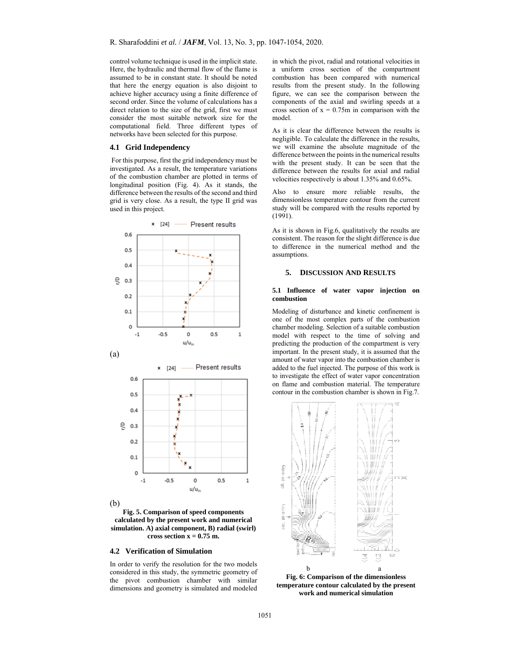control volume technique is used in the implicit state. Here, the hydraulic and thermal flow of the flame is assumed to be in constant state. It should be noted that here the energy equation is also disjoint to achieve higher accuracy using a finite difference of second order. Since the volume of calculations has a direct relation to the size of the grid, first we must consider the most suitable network size for the computational field. Three different types of networks have been selected for this purpose.

### **4.1 Grid Independency**

 For this purpose, first the grid independency must be investigated. As a result, the temperature variations of the combustion chamber are plotted in terms of longitudinal position (Fig. 4). As it stands, the difference between the results of the second and third grid is very close. As a result, the type II grid was used in this project.



(b)

**Fig. 5. Comparison of speed components calculated by the present work and numerical simulation. A) axial component, B) radial (swirl)**  cross section  $x = 0.75$  m.

#### **4.2 Verification of Simulation**

In order to verify the resolution for the two models considered in this study, the symmetric geometry of the pivot combustion chamber with similar dimensions and geometry is simulated and modeled

in which the pivot, radial and rotational velocities in a uniform cross section of the compartment combustion has been compared with numerical results from the present study. In the following figure, we can see the comparison between the components of the axial and swirling speeds at a cross section of  $x = 0.75$ m in comparison with the model.

As it is clear the difference between the results is negligible. To calculate the difference in the results, we will examine the absolute magnitude of the difference between the points in the numerical results with the present study. It can be seen that the difference between the results for axial and radial velocities respectively is about 1.35% and 0.65%.

Also to ensure more reliable results, the dimensionless temperature contour from the current study will be compared with the results reported by (1991).

As it is shown in Fig.6, qualitatively the results are consistent. The reason for the slight difference is due to difference in the numerical method and the assumptions.

#### **5. DISCUSSION AND RESULTS**

#### **5.1 Influence of water vapor injection on combustion**

Modeling of disturbance and kinetic confinement is one of the most complex parts of the combustion chamber modeling. Selection of a suitable combustion model with respect to the time of solving and predicting the production of the compartment is very important. In the present study, it is assumed that the amount of water vapor into the combustion chamber is added to the fuel injected. The purpose of this work is to investigate the effect of water vapor concentration on flame and combustion material. The temperature contour in the combustion chamber is shown in Fig.7.



**Fig. 6: Comparison of the dimensionless temperature contour calculated by the present work and numerical simulation**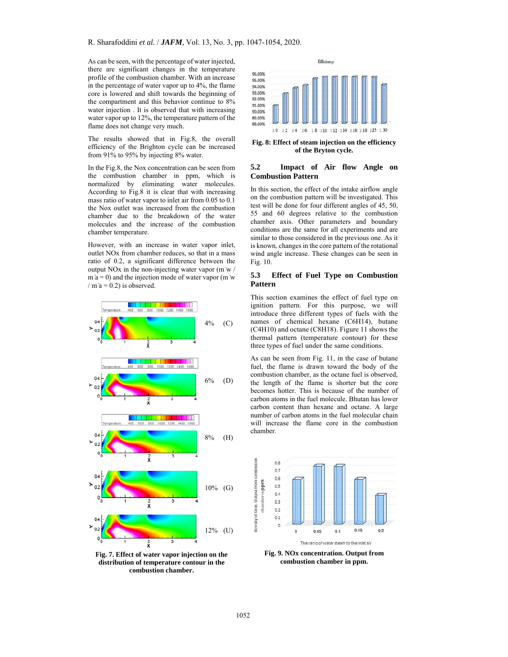As can be seen, with the percentage of water injected, there are significant changes in the temperature profile of the combustion chamber. With an increase in the percentage of water vapor up to 4%, the flame core is lowered and shift towards the beginning of the compartment and this behavior continue to 8% water injection . It is observed that with increasing water vapor up to 12%, the temperature pattern of the flame does not change very much.

The results showed that in Fig.8, the overall efficiency of the Brighton cycle can be increased from 91% to 95% by injecting 8% water.

In the Fig.8, the Nox concentration can be seen from the combustion chamber in ppm, which is normalized by eliminating water molecules. According to Fig.8 it is clear that with increasing mass ratio of water vapor to inlet air from 0.05 to 0.1 the Nox outlet was increased from the combustion chamber due to the breakdown of the water molecules and the increase of the combustion chamber temperature.

However, with an increase in water vapor inlet, outlet NOx from chamber reduces, so that in a mass ratio of 0.2, a significant difference between the output NOx in the non-injecting water vapor (m ̇w /  $m a = 0$ ) and the injection mode of water vapor (m w / m  $a = 0.2$ ) is observed.



**Fig. 7. Effect of water vapor injection on the distribution of temperature contour in the combustion chamber.** 



**Fig. 8: Effect of steam injection on the efficiency of the Bryton cycle.** 

#### **5.2 Impact of Air flow Angle on Combustion Pattern**

In this section, the effect of the intake airflow angle on the combustion pattern will be investigated. This test will be done for four different angles of 45, 50, 55 and 60 degrees relative to the combustion chamber axis. Other parameters and boundary conditions are the same for all experiments and are similar to those considered in the previous one. As it is known, changes in the core pattern of the rotational wind angle increase. These changes can be seen in Fig. 10.

## **5.3 Effect of Fuel Type on Combustion Pattern**

This section examines the effect of fuel type on ignition pattern. For this purpose, we will introduce three different types of fuels with the names of chemical hexane (C6H14), butane (C4H10) and octane (C8H18). Figure 11 shows the thermal pattern (temperature contour) for these three types of fuel under the same conditions.

As can be seen from Fig. 11, in the case of butane fuel, the flame is drawn toward the body of the combustion chamber, as the octane fuel is observed, the length of the flame is shorter but the core becomes hotter. This is because of the number of carbon atoms in the fuel molecule. Bhutan has lower carbon content than hexane and octane. A large number of carbon atoms in the fuel molecular chain will increase the flame core in the combustion chamber.



**Fig. 9. NOx concentration. Output from combustion chamber in ppm.**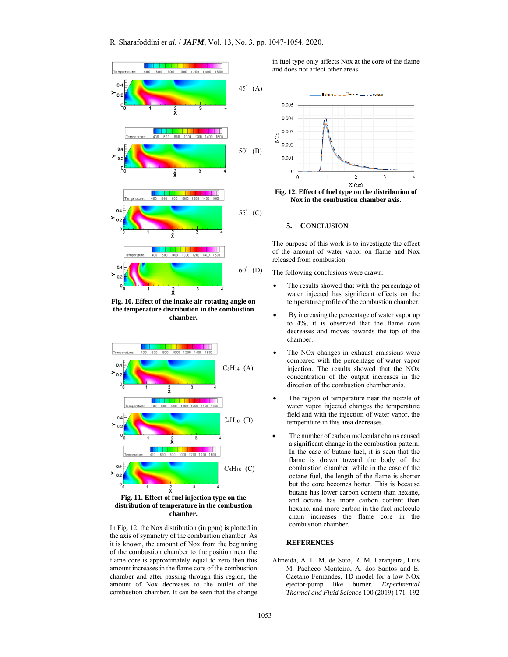

**Fig. 10. Effect of the intake air rotating angle on the temperature distribution in the combustion chamber.** 



**distribution of temperature in the combustion chamber.** 

In Fig. 12, the Nox distribution (in ppm) is plotted in the axis of symmetry of the combustion chamber. As it is known, the amount of Nox from the beginning of the combustion chamber to the position near the flame core is approximately equal to zero then this amount increases in the flame core of the combustion chamber and after passing through this region, the amount of Nox decreases to the outlet of the combustion chamber. It can be seen that the change

in fuel type only affects Nox at the core of the flame and does not affect other areas.



**Nox in the combustion chamber axis.** 

#### **5. CONCLUSION**

The purpose of this work is to investigate the effect of the amount of water vapor on flame and Nox released from combustion.

The following conclusions were drawn:

- The results showed that with the percentage of water injected has significant effects on the temperature profile of the combustion chamber.
- By increasing the percentage of water vapor up to 4%, it is observed that the flame core decreases and moves towards the top of the chamber.
- The NOx changes in exhaust emissions were compared with the percentage of water vapor injection. The results showed that the NOx concentration of the output increases in the direction of the combustion chamber axis.
- The region of temperature near the nozzle of water vapor injected changes the temperature field and with the injection of water vapor, the temperature in this area decreases.
- The number of carbon molecular chains caused a significant change in the combustion pattern. In the case of butane fuel, it is seen that the flame is drawn toward the body of the combustion chamber, while in the case of the octane fuel, the length of the flame is shorter but the core becomes hotter. This is because butane has lower carbon content than hexane, and octane has more carbon content than hexane, and more carbon in the fuel molecule chain increases the flame core in the combustion chamber.

# **REFERENCES**

Almeida, A. L. M. de Soto, R. M. Laranjeira, Luís M. Pacheco Monteiro, A. dos Santos and E. Caetano Fernandes, 1D model for a low NOx ejector-pump like burner. *Experimental Thermal and Fluid Science* 100 (2019) 171–192